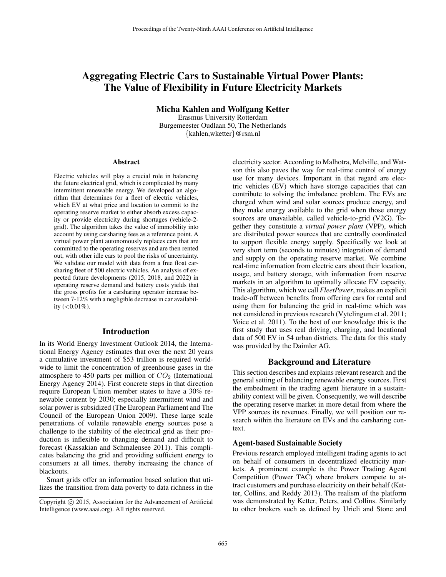# Aggregating Electric Cars to Sustainable Virtual Power Plants: The Value of Flexibility in Future Electricity Markets

Micha Kahlen and Wolfgang Ketter

Erasmus University Rotterdam Burgemeester Oudlaan 50, The Netherlands {kahlen,wketter}@rsm.nl

#### Abstract

Electric vehicles will play a crucial role in balancing the future electrical grid, which is complicated by many intermittent renewable energy. We developed an algorithm that determines for a fleet of electric vehicles, which EV at what price and location to commit to the operating reserve market to either absorb excess capacity or provide electricity during shortages (vehicle-2 grid). The algorithm takes the value of immobility into account by using carsharing fees as a reference point. A virtual power plant autonomously replaces cars that are committed to the operating reserves and are then rented out, with other idle cars to pool the risks of uncertainty. We validate our model with data from a free float carsharing fleet of 500 electric vehicles. An analysis of expected future developments (2015, 2018, and 2022) in operating reserve demand and battery costs yields that the gross profits for a carsharing operator increase between 7-12% with a negligible decrease in car availability  $(<0.01\%)$ .

### Introduction

In its World Energy Investment Outlook 2014, the International Energy Agency estimates that over the next 20 years a cumulative investment of \$53 trillion is required worldwide to limit the concentration of greenhouse gases in the atmosphere to 450 parts per million of  $CO<sub>2</sub>$  (International Energy Agency 2014). First concrete steps in that direction require European Union member states to have a 30% renewable content by 2030; especially intermittent wind and solar power is subsidized (The European Parliament and The Council of the European Union 2009). These large scale penetrations of volatile renewable energy sources pose a challenge to the stability of the electrical grid as their production is inflexible to changing demand and difficult to forecast (Kassakian and Schmalensee 2011). This complicates balancing the grid and providing sufficient energy to consumers at all times, thereby increasing the chance of blackouts.

Smart grids offer an information based solution that utilizes the transition from data poverty to data richness in the electricity sector. According to Malhotra, Melville, and Watson this also paves the way for real-time control of energy use for many devices. Important in that regard are electric vehicles (EV) which have storage capacities that can contribute to solving the imbalance problem. The EVs are charged when wind and solar sources produce energy, and they make energy available to the grid when those energy sources are unavailable, called vehicle-to-grid (V2G). Together they constitute a *virtual power plant* (VPP), which are distributed power sources that are centrally coordinated to support flexible energy supply. Specifically we look at very short term (seconds to minutes) integration of demand and supply on the operating reserve market. We combine real-time information from electric cars about their location, usage, and battery storage, with information from reserve markets in an algorithm to optimally allocate EV capacity. This algorithm, which we call *FleetPower*, makes an explicit trade-off between benefits from offering cars for rental and using them for balancing the grid in real-time which was not considered in previous research (Vytelingum et al. 2011; Voice et al. 2011). To the best of our knowledge this is the first study that uses real driving, charging, and locational data of 500 EV in 54 urban districts. The data for this study was provided by the Daimler AG.

### Background and Literature

This section describes and explains relevant research and the general setting of balancing renewable energy sources. First the embedment in the trading agent literature in a sustainability context will be given. Consequently, we will describe the operating reserve market in more detail from where the VPP sources its revenues. Finally, we will position our research within the literature on EVs and the carsharing context.

### Agent-based Sustainable Society

Previous research employed intelligent trading agents to act on behalf of consumers in decentralized electricity markets. A prominent example is the Power Trading Agent Competition (Power TAC) where brokers compete to attract customers and purchase electricity on their behalf (Ketter, Collins, and Reddy 2013). The realism of the platform was demonstrated by Ketter, Peters, and Collins. Similarly to other brokers such as defined by Urieli and Stone and

Copyright © 2015, Association for the Advancement of Artificial Intelligence (www.aaai.org). All rights reserved.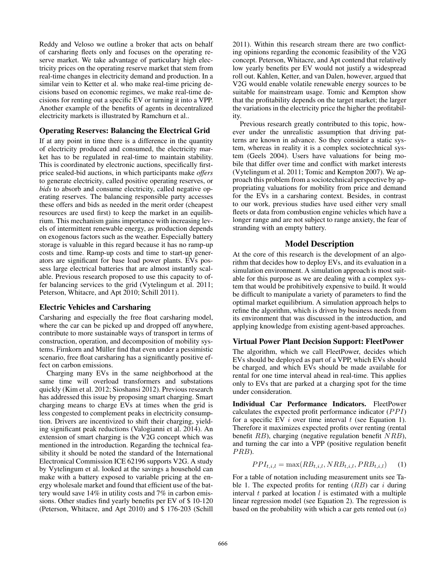Reddy and Veloso we outline a broker that acts on behalf of carsharing fleets only and focuses on the operating reserve market. We take advantage of particulary high electricity prices on the operating reserve market that stem from real-time changes in electricity demand and production. In a similar vein to Ketter et al. who make real-time pricing decisions based on economic regimes, we make real-time decisions for renting out a specific EV or turning it into a VPP. Another example of the benefits of agents in decentralized electricity markets is illustrated by Ramchurn et al..

## Operating Reserves: Balancing the Electrical Grid

If at any point in time there is a difference in the quantity of electricity produced and consumed, the electricity market has to be regulated in real-time to maintain stability. This is coordinated by electronic auctions, specifically firstprice sealed-bid auctions, in which participants make *offers* to generate electricity, called positive operating reserves, or *bids* to absorb and consume electricity, called negative operating reserves. The balancing responsible party accesses these offers and bids as needed in the merit order (cheapest resources are used first) to keep the market in an equilibrium. This mechanism gains importance with increasing levels of intermittent renewable energy, as production depends on exogenous factors such as the weather. Especially battery storage is valuable in this regard because it has no ramp-up costs and time. Ramp-up costs and time to start-up generators are significant for base load power plants. EVs possess large electrical batteries that are almost instantly scalable. Previous research proposed to use this capacity to offer balancing services to the grid (Vytelingum et al. 2011; Peterson, Whitacre, and Apt 2010; Schill 2011).

## Electric Vehicles and Carsharing

Carsharing and especially the free float carsharing model, where the car can be picked up and dropped off anywhere, contribute to more sustainable ways of transport in terms of construction, operation, and decomposition of mobility systems. Firnkorn and Müller find that even under a pessimistic scenario, free float carsharing has a significantly positive effect on carbon emissions.

Charging many EVs in the same neighborhood at the same time will overload transformers and substations quickly (Kim et al. 2012; Sioshansi 2012). Previous research has addressed this issue by proposing smart charging. Smart charging means to charge EVs at times when the grid is less congested to complement peaks in electricity consumption. Drivers are incentivized to shift their charging, yielding significant peak reductions (Valogianni et al. 2014). An extension of smart charging is the V2G concept which was mentioned in the introduction. Regarding the technical feasibility it should be noted the standard of the International Electronical Commission ICE 62196 supports V2G. A study by Vytelingum et al. looked at the savings a household can make with a battery exposed to variable pricing at the energy wholesale market and found that efficient use of the battery would save 14% in utility costs and 7% in carbon emissions. Other studies find yearly benefits per EV of \$ 10-120 (Peterson, Whitacre, and Apt 2010) and \$ 176-203 (Schill

2011). Within this research stream there are two conflicting opinions regarding the economic feasibility of the V2G concept. Peterson, Whitacre, and Apt contend that relatively low yearly benefits per EV would not justify a widespread roll out. Kahlen, Ketter, and van Dalen, however, argued that V2G would enable volatile renewable energy sources to be suitable for mainstream usage. Tomic and Kempton show that the profitability depends on the target market; the larger the variations in the electricity price the higher the profitability.

Previous research greatly contributed to this topic, however under the unrealistic assumption that driving patterns are known in advance. So they consider a static system, whereas in reality it is a complex sociotechnical system (Geels 2004). Users have valuations for being mobile that differ over time and conflict with market interests (Vytelingum et al. 2011; Tomic and Kempton 2007). We approach this problem from a sociotechnical perspective by appropriating valuations for mobility from price and demand for the EVs in a carsharing context. Besides, in contrast to our work, previous studies have used either very small fleets or data from combustion engine vehicles which have a longer range and are not subject to range anxiety, the fear of stranding with an empty battery.

## Model Description

At the core of this research is the development of an algorithm that decides how to deploy EVs, and its evaluation in a simulation environment. A simulation approach is most suitable for this purpose as we are dealing with a complex system that would be prohibitively expensive to build. It would be difficult to manipulate a variety of parameters to find the optimal market equilibrium. A simulation approach helps to refine the algorithm, which is driven by business needs from its environment that was discussed in the introduction, and applying knowledge from existing agent-based approaches.

## Virtual Power Plant Decision Support: FleetPower

The algorithm, which we call FleetPower, decides which EVs should be deployed as part of a VPP, which EVs should be charged, and which EVs should be made available for rental for one time interval ahead in real-time. This applies only to EVs that are parked at a charging spot for the time under consideration.

Individual Car Performance Indicators. FleetPower calculates the expected profit performance indicator  $(PPI)$ for a specific EV  $i$  over time interval  $t$  (see Equation 1). Therefore it maximizes expected profits over renting (rental benefit RB), charging (negative regulation benefit NRB), and turning the car into a VPP (positive regulation benefit  $PRB$ ).

$$
PPI_{t,i,l} = \max(RB_{t,i,l}, NRB_{t,i,l}, PRB_{t,i,l}) \tag{1}
$$

For a table of notation including measurement units see Table 1. The expected profits for renting  $(RB)$  car *i* during interval  $t$  parked at location  $l$  is estimated with a multiple linear regression model (see Equation 2). The regression is based on the probability with which a car gets rented out  $(a)$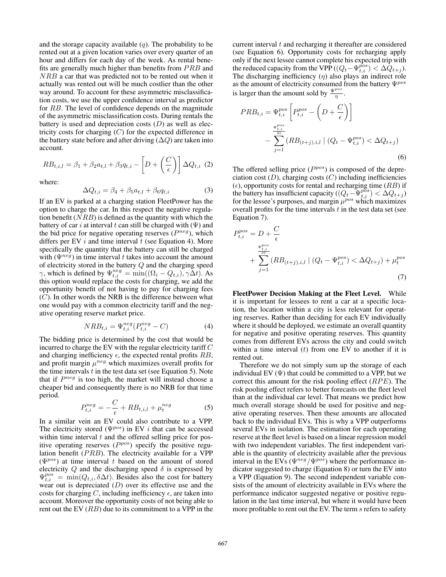and the storage capacity available  $(q)$ . The probability to be rented out at a given location varies over every quarter of an hour and differs for each day of the week. As rental benefits are generally much higher than benefits from  $PRB$  and NRB a car that was predicted not to be rented out when it actually was rented out will be much costlier than the other way around. To account for these asymmetric misclassification costs, we use the upper confidence interval as predictor for RB. The level of confidence depends on the magnitude of the asymmetric misclassification costs. During rentals the battery is used and depreciation costs  $(D)$  as well as electricity costs for charging  $(C)$  for the expected difference in the battery state before and after driving  $(\Delta Q)$  are taken into account.

$$
RB_{t,i,l} = \beta_1 + \beta_2 a_{t,l} + \beta_3 q_{t,i} - \left[D + \left(\frac{C}{\epsilon}\right)\right] \Delta Q_{t,i} \tag{2}
$$

where:

$$
\Delta Q_{t,i} = \beta_4 + \beta_5 a_{t,l} + \beta_6 q_{t,i} \tag{3}
$$

If an EV is parked at a charging station FleetPower has the option to charge the car. In this respect the negative regulation benefit  $(NRB)$  is defined as the quantity with which the battery of car i at interval t can still be charged with  $(\Psi)$  and the bid price for negative operating reserves  $(P^{neg})$ , which differs per EV  $i$  and time interval  $t$  (see Equation 4). More specifically the quantity that the battery can still be charged with  $(\Psi^{neg})$  in time interval t takes into account the amount of electricity stored in the battery Q and the charging speed  $\gamma$ , which is defined by  $\Psi_{t,i}^{neg} = \min((\Omega_i - Q_{t,i}), \gamma \Delta t)$ . As this option would replace the costs for charging, we add the opportunity benefit of not having to pay for charging fees  $(C)$ . In other words the NRB is the difference between what one would pay with a common electricity tariff and the negative operating reserve market price.

$$
NRB_{t,i} = \Psi_{t,i}^{neg}(P_{t,i}^{neg} - C)
$$
\n(4)

The bidding price is determined by the cost that would be incurred to charge the EV with the regular electricity tariff C and charging inefficiency  $\epsilon$ , the expected rental profits RB, and profit margin  $\mu^{neg}$  which maximizes overall profits for the time intervals  $t$  in the test data set (see Equation 5). Note that if  $P^{neg}$  is too high, the market will instead choose a cheaper bid and consequently there is no NRB for that time period.

$$
P_{t,i}^{neg} = -\frac{C}{\epsilon} + RB_{t,i,l} + \mu_t^{neg}
$$
 (5)

In a similar vein an EV could also contribute to a VPP. The electricity stored ( $\Psi^{pos}$ ) in EV *i* that can be accessed within time interval  $t$  and the offered selling price for positive operating reserves  $(P^{pos})$  specify the positive regulation benefit  $(PRB)$ . The electricity available for a VPP  $(\Psi^{pos})$  at time interval t based on the amount of stored electricity  $Q$  and the discharging speed  $\delta$  is expressed by  $\Psi_{t,i}^{pos} = \min(Q_{t,i}, \delta \Delta t)$ . Besides also the cost for battery wear out is depreciated  $(D)$  over its effective use and the costs for charging C, including inefficiency  $\epsilon$ , are taken into account. Moreover the opportunity costs of not being able to rent out the EV  $(RB)$  due to its commitment to a VPP in the current interval  $t$  and recharging it thereafter are considered (see Equation 6). Opportunity costs for recharging apply only if the next lessee cannot complete his expected trip with the reduced capacity from the VPP ( $(Q_t - \Psi_{t,i}^{pos}) < \Delta \dot{Q}_{t+j}$ ). The discharging inefficiency  $(\eta)$  also plays an indirect role as the amount of electricity consumed from the battery  $\Psi^{pos}$ is larger than the amount sold by  $\frac{\Psi^{pos}}{\eta}$ .

$$
PRB_{t,i} = \Psi_{t,i}^{pos} \left[ P_{t,i}^{pos} - \left( D + \frac{C}{\epsilon} \right) \right]
$$
  

$$
- \sum_{j=1}^{\frac{\Psi_{t,i}^{pos}}{\delta t}} (RB_{(t+j),i,l} \mid (Q_t - \Psi_{t,i}^{pos}) < \Delta Q_{t+j})
$$
  
(6)

The offered selling price  $(P^{pos})$  is composed of the depreciation cost  $(D)$ , charging costs  $(C)$  including inefficiencies  $(\epsilon)$ , opportunity costs for rental and recharging time (RB) if the battery has insufficient capacity ( $(Q_t - \Psi_{t,i}^{pos}) < \Delta Q_{t+j}$ ) for the lessee's purposes, and margin  $\mu^{pos}$  which maximizes overall profits for the time intervals  $t$  in the test data set (see Equation 7).

$$
P_{t,i}^{pos} = D + \frac{C}{\epsilon}
$$
  
+ 
$$
\sum_{j=1}^{\frac{\Psi_{t,i}^{pos}}{\delta t}} (RB_{(t+j),i,l} | (Q_t - \Psi_{t,i}^{pos}) < \Delta Q_{t+j}) + \mu_t^{pos}
$$
  
(7)

FleetPower Decision Making at the Fleet Level. While it is important for lessees to rent a car at a specific location, the location within a city is less relevant for operating reserves. Rather than deciding for each EV individually where it should be deployed, we estimate an overall quantity for negative and positive operating reserves. This quantity comes from different EVs across the city and could switch within a time interval  $(t)$  from one EV to another if it is rented out.

Therefore we do not simply sum up the storage of each individual EV  $(\Psi)$  that could be committed to a VPP, but we correct this amount for the risk pooling effect  $(RPE)$ . The risk pooling effect refers to better forecasts on the fleet level than at the individual car level. That means we predict how much overall storage should be used for positive and negative operating reserves. Then these amounts are allocated back to the individual EVs. This is why a VPP outperforms several EVs in isolation. The estimation for each operating reserve at the fleet level is based on a linear regression model with two independent variables. The first independent variable is the quantity of electricity available after the previous interval in the EVs ( $\Psi^{neg}/\Psi^{pos}$ ) where the performance indicator suggested to charge (Equation 8) or turn the EV into a VPP (Equation 9). The second independent variable consists of the amount of electricity available in EVs where the performance indicator suggested negative or positive regulation in the last time interval, but where it would have been more profitable to rent out the EV. The term s refers to safety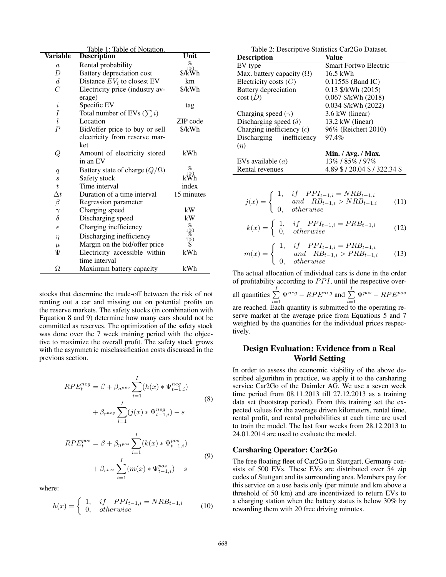| Table 1: Table of Notation.                    |                                      |                                      |  |  |  |
|------------------------------------------------|--------------------------------------|--------------------------------------|--|--|--|
| <b>Variable</b>                                | <b>Description</b>                   | Unit                                 |  |  |  |
| $\boldsymbol{a}$                               | Rental probability                   | %                                    |  |  |  |
| D                                              | Battery depreciation cost            | $\sqrt{\frac{100}{k}}$               |  |  |  |
| $\boldsymbol{d}$                               | Distance $EV_i$ to closest EV        | km                                   |  |  |  |
| $\overline{C}$                                 | Electricity price (industry av-      | \$/kWh                               |  |  |  |
|                                                | erage)                               |                                      |  |  |  |
| $\it i$                                        | Specific EV                          | tag                                  |  |  |  |
| Ι                                              | Total number of EVs $(\sum i)$       |                                      |  |  |  |
| l                                              | Location                             | ZIP code                             |  |  |  |
| $\overline{P}$                                 | Bid/offer price to buy or sell       | \$/kWh                               |  |  |  |
|                                                | electricity from reserve mar-<br>ket |                                      |  |  |  |
| Q                                              | Amount of electricity stored         | kWh                                  |  |  |  |
|                                                | in an EV                             |                                      |  |  |  |
| q                                              | Battery state of charge $(Q/\Omega)$ | $\frac{\%}{100}$                     |  |  |  |
| $\boldsymbol{s}$                               | Safety stock                         | kŴh                                  |  |  |  |
| t                                              | Time interval                        | index                                |  |  |  |
| $\Delta t$                                     | Duration of a time interval          | 15 minutes                           |  |  |  |
| $\beta$                                        | Regression parameter                 |                                      |  |  |  |
|                                                | Charging speed                       | kW                                   |  |  |  |
| $\begin{matrix} \gamma \\ \delta \end{matrix}$ | Discharging speed                    | kW                                   |  |  |  |
| $\epsilon$                                     | Charging inefficiency                | $\frac{\%}{100}$<br>$\frac{\%}{100}$ |  |  |  |
| $\eta$                                         | Discharging inefficiency             |                                      |  |  |  |
| $\mu$                                          | Margin on the bid/offer price        | \$                                   |  |  |  |
| Ψ                                              | Electricity accessible within        | kWh                                  |  |  |  |
|                                                | time interval                        |                                      |  |  |  |
| Ω                                              | Maximum battery capacity             | kWh                                  |  |  |  |

stocks that determine the trade-off between the risk of not renting out a car and missing out on potential profits on the reserve markets. The safety stocks (in combination with Equation 8 and 9) determine how many cars should not be committed as reserves. The optimization of the safety stock was done over the 7 week training period with the objective to maximize the overall profit. The safety stock grows with the asymmetric misclassification costs discussed in the previous section.

$$
RPE_t^{neg} = \beta + \beta_{n^{neg}} \sum_{i=1}^{I} (h(x) * \Psi_{t-1,i}^{neg})
$$
  
+  $\beta_{r^{neg}} \sum_{i=1}^{I} (j(x) * \Psi_{t-1,i}^{neg}) - s$  (8)

$$
RPE_t^{pos} = \beta + \beta_{npos} \sum_{i=1}^{I} (k(x) * \Psi_{t-1,i}^{pos})
$$
  
+  $\beta_{rpos} \sum_{i=1}^{I} (m(x) * \Psi_{t-1,i}^{pos}) - s$  (9)

where:

$$
h(x) = \begin{cases} 1, & if \quad PPI_{t-1,i} = NRB_{t-1,i} \\ 0, & otherwise \end{cases}
$$
 (10)

 $i=1$ 

| Table 2: Descriptive Statistics Car2Go Dataset. |                                |  |  |  |
|-------------------------------------------------|--------------------------------|--|--|--|
| <b>Description</b>                              | Value                          |  |  |  |
| EV type                                         | <b>Smart Fortwo Electric</b>   |  |  |  |
| Max. battery capacity $(\Omega)$                | $16.5$ kWh                     |  |  |  |
| Electricity costs $(C)$                         | $0.1155\$ (Band IC)            |  |  |  |
| Battery depreciation                            | $0.13$ \$/kWh $(2015)$         |  |  |  |
| cost(D)                                         | 0.067 \$/kWh (2018)            |  |  |  |
|                                                 | 0.034 \$/kWh (2022)            |  |  |  |
| Charging speed $(\gamma)$                       | 3.6 kW (linear)                |  |  |  |
| Discharging speed $(\delta)$                    | 13.2 kW (linear)               |  |  |  |
| Charging inefficiency $(\epsilon)$              | 96% (Reichert 2010)            |  |  |  |
| Discharging inefficiency                        | 97.4%                          |  |  |  |
| (n)                                             |                                |  |  |  |
|                                                 | Min. / $Avg.$ / Max.           |  |  |  |
| EVs available $(a)$                             | 13%/85%/97%                    |  |  |  |
| Rental revenues                                 | 4.89 \$ / 20.04 \$ / 322.34 \$ |  |  |  |

$$
j(x) = \begin{cases} 1, & if & PPI_{t-1,i} = NRB_{t-1,i} \\ & and & RB_{t-1,i} > NRB_{t-1,i} \\ 0, & otherwise \end{cases}
$$
 (11)

$$
k(x) = \begin{cases} 1, & if \quad PPI_{t-1,i} = PRB_{t-1,i} \\ 0, & otherwise \end{cases}
$$
 (12)

$$
m(x) = \begin{cases} 1, & if & PPI_{t-1,i} = PRB_{t-1,i} \\ & and & RB_{t-1,i} > PRB_{t-1,i} \\ 0, & otherwise \end{cases}
$$
 (13)

The actual allocation of individual cars is done in the order of profitability according to  $PPI$ , until the respective over-

all quantities  $\sum^{I}$  $\sum_{i=1}^{I}\Psi^{neg} - RPE^{neg}$  and  $\sum_{i=1}^{I}$  $i=1$  $\Psi^{pos} - RPE^{pos}$ are reached. Each quantity is submitted to the operating reserve market at the average price from Equations 5 and 7 weighted by the quantities for the individual prices respectively.

## Design Evaluation: Evidence from a Real World Setting

In order to assess the economic viability of the above described algorithm in practice, we apply it to the carsharing service Car2Go of the Daimler AG. We use a seven week time period from 08.11.2013 till 27.12.2013 as a training data set (bootstrap period). From this training set the expected values for the average driven kilometers, rental time, rental profit, and rental probabilities at each time are used to train the model. The last four weeks from 28.12.2013 to 24.01.2014 are used to evaluate the model.

## Carsharing Operator: Car2Go

The free floating fleet of Car2Go in Stuttgart, Germany consists of 500 EVs. These EVs are distributed over 54 zip codes of Stuttgart and its surrounding area. Members pay for this service on a use basis only (per minute and km above a threshold of 50 km) and are incentivized to return EVs to a charging station when the battery status is below 30% by rewarding them with 20 free driving minutes.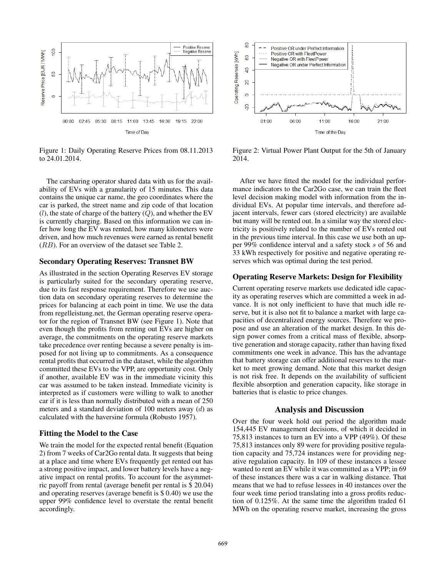

Figure 1: Daily Operating Reserve Prices from 08.11.2013 to 24.01.2014.

The carsharing operator shared data with us for the availability of EVs with a granularity of 15 minutes. This data contains the unique car name, the geo coordinates where the car is parked, the street name and zip code of that location  $(l)$ , the state of charge of the battery  $(Q)$ , and whether the EV is currently charging. Based on this information we can infer how long the EV was rented, how many kilometers were driven, and how much revenues were earned as rental benefit (RB). For an overview of the dataset see Table 2.

### Secondary Operating Reserves: Transnet BW

As illustrated in the section Operating Reserves EV storage is particularly suited for the secondary operating reserve, due to its fast response requirement. Therefore we use auction data on secondary operating reserves to determine the prices for balancing at each point in time. We use the data from regelleistung.net, the German operating reserve operator for the region of Transnet BW (see Figure 1). Note that even though the profits from renting out EVs are higher on average, the commitments on the operating reserve markets take precedence over renting because a severe penalty is imposed for not living up to commitments. As a consequence rental profits that occurred in the dataset, while the algorithm committed these EVs to the VPP, are opportunity cost. Only if another, available EV was in the immediate vicinity this car was assumed to be taken instead. Immediate vicinity is interpreted as if customers were willing to walk to another car if it is less than normally distributed with a mean of 250 meters and a standard deviation of 100 meters away  $(d)$  as calculated with the haversine formula (Robusto 1957).

### Fitting the Model to the Case

We train the model for the expected rental benefit (Equation 2) from 7 weeks of Car2Go rental data. It suggests that being at a place and time where EVs frequently get rented out has a strong positive impact, and lower battery levels have a negative impact on rental profits. To account for the asymmetric payoff from rental (average benefit per rental is \$ 20.04) and operating reserves (average benefit is \$ 0.40) we use the upper 99% confidence level to overstate the rental benefit accordingly.



Figure 2: Virtual Power Plant Output for the 5th of January 2014.

After we have fitted the model for the individual performance indicators to the Car2Go case, we can train the fleet level decision making model with information from the individual EVs. At popular time intervals, and therefore adjacent intervals, fewer cars (stored electricity) are available but many will be rented out. In a similar way the stored electricity is positively related to the number of EVs rented out in the previous time interval. In this case we use both an upper 99% confidence interval and a safety stock s of 56 and 33 kWh respectively for positive and negative operating reserves which was optimal during the test period.

## Operating Reserve Markets: Design for Flexibility

Current operating reserve markets use dedicated idle capacity as operating reserves which are committed a week in advance. It is not only inefficient to have that much idle reserve, but it is also not fit to balance a market with large capacities of decentralized energy sources. Therefore we propose and use an alteration of the market design. In this design power comes from a critical mass of flexible, absorptive generation and storage capacity, rather than having fixed commitments one week in advance. This has the advantage that battery storage can offer additional reserves to the market to meet growing demand. Note that this market design is not risk free. It depends on the availability of sufficient flexible absorption and generation capacity, like storage in batteries that is elastic to price changes.

### Analysis and Discussion

Over the four week hold out period the algorithm made 154,445 EV management decisions, of which it decided in 75,813 instances to turn an EV into a VPP (49%). Of these 75,813 instances only 89 were for providing positive regulation capacity and 75,724 instances were for providing negative regulation capacity. In 109 of these instances a lessee wanted to rent an EV while it was committed as a VPP; in 69 of these instances there was a car in walking distance. That means that we had to refuse lessees in 40 instances over the four week time period translating into a gross profits reduction of 0.125%. At the same time the algorithm traded 61 MWh on the operating reserve market, increasing the gross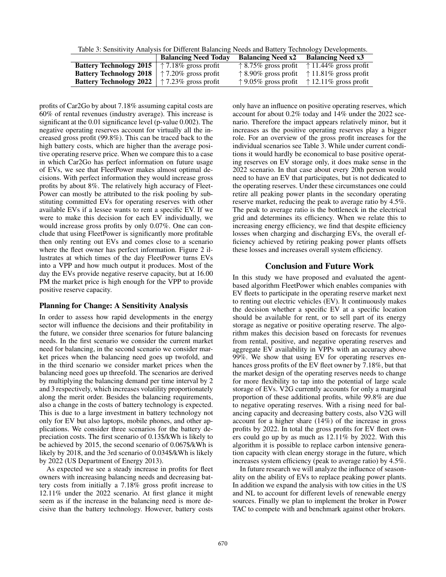Table 3: Sensitivity Analysis for Different Balancing Needs and Battery Technology Developments.

|                                                                | <b>Balancing Need Today</b>   | <b>Balancing Need x2</b> | <b>Balancing Need x3</b>                                     |
|----------------------------------------------------------------|-------------------------------|--------------------------|--------------------------------------------------------------|
| <b>Battery Technology 2015</b>                                 | $\uparrow$ 7.18% gross profit |                          | $\uparrow$ 8.75% gross profit $\uparrow$ 11.44% gross profit |
| <b>Battery Technology 2018</b>                                 | $\uparrow$ 7.20% gross profit |                          | $\uparrow$ 8.90% gross profit $\uparrow$ 11.81% gross profit |
| <b>Battery Technology 2022</b>   $\uparrow$ 7.23% gross profit |                               |                          | $\uparrow$ 9.05% gross profit $\uparrow$ 12.11% gross profit |

profits of Car2Go by about 7.18% assuming capital costs are 60% of rental revenues (industry average). This increase is significant at the 0.01 significance level (p-value 0.002). The negative operating reserves account for virtually all the increased gross profit (99.8%). This can be traced back to the high battery costs, which are higher than the average positive operating reserve price. When we compare this to a case in which Car2Go has perfect information on future usage of EVs, we see that FleetPower makes almost optimal decisions. With perfect information they would increase gross profits by about 8%. The relatively high accuracy of Fleet-Power can mostly be attributed to the risk pooling by substituting committed EVs for operating reserves with other available EVs if a lessee wants to rent a specific EV. If we were to make this decision for each EV individually, we would increase gross profits by only 0.07%. One can conclude that using FleetPower is significantly more profitable then only renting out EVs and comes close to a scenario where the fleet owner has perfect information. Figure 2 illustrates at which times of the day FleetPower turns EVs into a VPP and how much output it produces. Most of the day the EVs provide negative reserve capacity, but at 16.00 PM the market price is high enough for the VPP to provide positive reserve capacity.

### Planning for Change: A Sensitivity Analysis

In order to assess how rapid developments in the energy sector will influence the decisions and their profitability in the future, we consider three scenarios for future balancing needs. In the first scenario we consider the current market need for balancing, in the second scenario we consider market prices when the balancing need goes up twofold, and in the third scenario we consider market prices when the balancing need goes up threefold. The scenarios are derived by multiplying the balancing demand per time interval by 2 and 3 respectively, which increases volatility proportionately along the merit order. Besides the balancing requirements, also a change in the costs of battery technology is expected. This is due to a large investment in battery technology not only for EV but also laptops, mobile phones, and other applications. We consider three scenarios for the battery depreciation costs. The first scenario of 0.13\$/kWh is likely to be achieved by 2015, the second scenario of 0.067\$/kWh is likely by 2018, and the 3rd scenario of 0.034\$/kWh is likely by 2022 (US Department of Energy 2013).

As expected we see a steady increase in profits for fleet owners with increasing balancing needs and decreasing battery costs from initially a 7.18% gross profit increase to 12.11% under the 2022 scenario. At first glance it might seem as if the increase in the balancing need is more decisive than the battery technology. However, battery costs

only have an influence on positive operating reserves, which account for about 0.2% today and 14% under the 2022 scenario. Therefore the impact appears relatively minor, but it increases as the positive operating reserves play a bigger role. For an overview of the gross profit increases for the individual scenarios see Table 3. While under current conditions it would hardly be economical to base positive operating reserves on EV storage only, it does make sense in the 2022 scenario. In that case about every 20th person would need to have an EV that participates, but is not dedicated to the operating reserves. Under these circumstances one could retire all peaking power plants in the secondary operating reserve market, reducing the peak to average ratio by 4.5%. The peak to average ratio is the bottleneck in the electrical grid and determines its efficiency. When we relate this to increasing energy efficiency, we find that despite efficiency losses when charging and discharging EVs, the overall efficiency achieved by retiring peaking power plants offsets these losses and increases overall system efficiency.

### Conclusion and Future Work

In this study we have proposed and evaluated the agentbased algorithm FleetPower which enables companies with EV fleets to participate in the operating reserve market next to renting out electric vehicles (EV). It continuously makes the decision whether a specific EV at a specific location should be available for rent, or to sell part of its energy storage as negative or positive operating reserve. The algorithm makes this decision based on forecasts for revenues from rental, positive, and negative operating reserves and aggregate EV availability in VPPs with an accuracy above 99%. We show that using EV for operating reserves enhances gross profits of the EV fleet owner by 7.18%, but that the market design of the operating reserves needs to change for more flexibility to tap into the potential of large scale storage of EVs. V2G currently accounts for only a marginal proportion of these additional profits, while 99.8% are due to negative operating reserves. With a rising need for balancing capacity and decreasing battery costs, also V2G will account for a higher share (14%) of the increase in gross profits by 2022. In total the gross profits for EV fleet owners could go up by as much as 12.11% by 2022. With this algorithm it is possible to replace carbon intensive generation capacity with clean energy storage in the future, which increases system efficiency (peak to average ratio) by 4.5%.

In future research we will analyze the influence of seasonality on the ability of EVs to replace peaking power plants. In addition we expand the analysis with tow cities in the US and NL to account for different levels of renewable energy sources. Finally we plan to implement the broker in Power TAC to compete with and benchmark against other brokers.